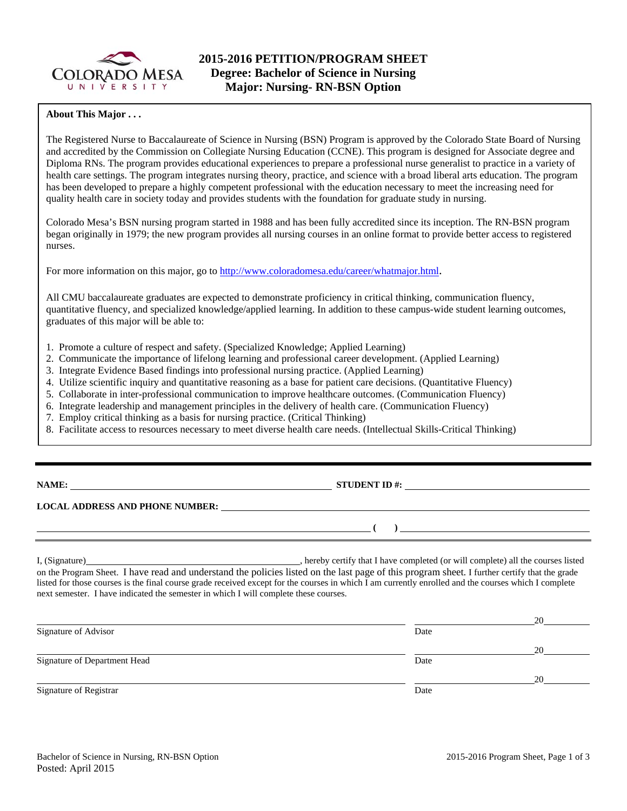

## **About This Major . . .**

The Registered Nurse to Baccalaureate of Science in Nursing (BSN) Program is approved by the Colorado State Board of Nursing and accredited by the Commission on Collegiate Nursing Education (CCNE). This program is designed for Associate degree and Diploma RNs. The program provides educational experiences to prepare a professional nurse generalist to practice in a variety of health care settings. The program integrates nursing theory, practice, and science with a broad liberal arts education. The program has been developed to prepare a highly competent professional with the education necessary to meet the increasing need for quality health care in society today and provides students with the foundation for graduate study in nursing.

Colorado Mesa's BSN nursing program started in 1988 and has been fully accredited since its inception. The RN-BSN program began originally in 1979; the new program provides all nursing courses in an online format to provide better access to registered nurses.

For more information on this major, go to http://www.coloradomesa.edu/career/whatmajor.html.

All CMU baccalaureate graduates are expected to demonstrate proficiency in critical thinking, communication fluency, quantitative fluency, and specialized knowledge/applied learning. In addition to these campus-wide student learning outcomes, graduates of this major will be able to:

- 1. Promote a culture of respect and safety. (Specialized Knowledge; Applied Learning)
- 2. Communicate the importance of lifelong learning and professional career development. (Applied Learning)
- 3. Integrate Evidence Based findings into professional nursing practice. (Applied Learning)
- 4. Utilize scientific inquiry and quantitative reasoning as a base for patient care decisions. (Quantitative Fluency)
- 5. Collaborate in inter-professional communication to improve healthcare outcomes. (Communication Fluency)
- 6. Integrate leadership and management principles in the delivery of health care. (Communication Fluency)
- 7. Employ critical thinking as a basis for nursing practice. (Critical Thinking)
- 8. Facilitate access to resources necessary to meet diverse health care needs. (Intellectual Skills-Critical Thinking)

# **NAME: STUDENT ID #:**

 $($   $)$   $)$ 

## **LOCAL ADDRESS AND PHONE NUMBER:**

I, (Signature) , hereby certify that I have completed (or will complete) all the courses listed on the Program Sheet. I have read and understand the policies listed on the last page of this program sheet. I further certify that the grade listed for those courses is the final course grade received except for the courses in which I am currently enrolled and the courses which I complete next semester. I have indicated the semester in which I will complete these courses.

|                              |      | 20 |
|------------------------------|------|----|
| Signature of Advisor         | Date |    |
|                              |      | 20 |
| Signature of Department Head | Date |    |
|                              |      | 20 |
| Signature of Registrar       | Date |    |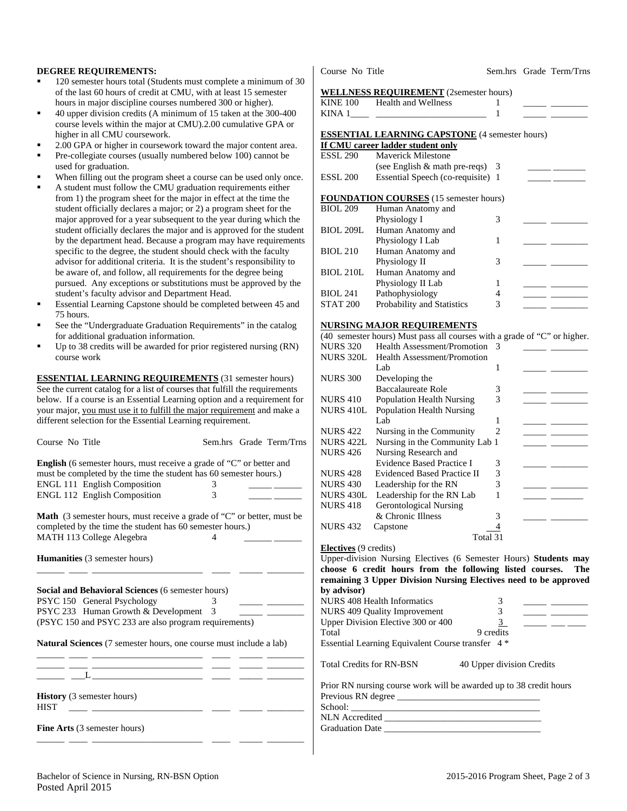## **DEGREE REQUIREMENTS:**

- 120 semester hours total (Students must complete a minimum of 30 of the last 60 hours of credit at CMU, with at least 15 semester hours in major discipline courses numbered 300 or higher).
- 40 upper division credits (A minimum of 15 taken at the 300-400 course levels within the major at CMU).2.00 cumulative GPA or higher in all CMU coursework.
- 2.00 GPA or higher in coursework toward the major content area.
- Pre-collegiate courses (usually numbered below 100) cannot be used for graduation.
- When filling out the program sheet a course can be used only once.
- A student must follow the CMU graduation requirements either from 1) the program sheet for the major in effect at the time the student officially declares a major; or 2) a program sheet for the major approved for a year subsequent to the year during which the student officially declares the major and is approved for the student by the department head. Because a program may have requirements specific to the degree, the student should check with the faculty advisor for additional criteria. It is the student's responsibility to be aware of, and follow, all requirements for the degree being pursued. Any exceptions or substitutions must be approved by the student's faculty advisor and Department Head.
- Essential Learning Capstone should be completed between 45 and 75 hours.
- See the "Undergraduate Graduation Requirements" in the catalog for additional graduation information.
- Up to 38 credits will be awarded for prior registered nursing (RN) course work

**ESSENTIAL LEARNING REQUIREMENTS** (31 semester hours) See the current catalog for a list of courses that fulfill the requirements below. If a course is an Essential Learning option and a requirement for your major, you must use it to fulfill the major requirement and make a different selection for the Essential Learning requirement.

|                                                                                                                      |             |                                                                                                                                                                                                                                                                                                                                                                                                                                                |                         | <b>INURS</b> 422             | industing in the Community                                 |                       |  |
|----------------------------------------------------------------------------------------------------------------------|-------------|------------------------------------------------------------------------------------------------------------------------------------------------------------------------------------------------------------------------------------------------------------------------------------------------------------------------------------------------------------------------------------------------------------------------------------------------|-------------------------|------------------------------|------------------------------------------------------------|-----------------------|--|
| Course No Title                                                                                                      |             |                                                                                                                                                                                                                                                                                                                                                                                                                                                | Sem.hrs Grade Term/Trns | <b>NURS 422L</b>             | Nursing in the Community Lab 1                             |                       |  |
|                                                                                                                      |             |                                                                                                                                                                                                                                                                                                                                                                                                                                                |                         | <b>NURS 426</b>              | Nursing Research and                                       |                       |  |
| <b>English</b> (6 semester hours, must receive a grade of "C" or better and                                          |             |                                                                                                                                                                                                                                                                                                                                                                                                                                                |                         |                              | <b>Evidence Based Practice I</b>                           | 3                     |  |
| must be completed by the time the student has 60 semester hours.)                                                    |             |                                                                                                                                                                                                                                                                                                                                                                                                                                                |                         | <b>NURS 428</b>              | <b>Evidenced Based Practice II</b>                         | 3                     |  |
| ENGL 111 English Composition                                                                                         | 3           |                                                                                                                                                                                                                                                                                                                                                                                                                                                |                         | <b>NURS 430</b>              | Leadership for the RN                                      | 3                     |  |
| <b>ENGL 112 English Composition</b>                                                                                  | 3           |                                                                                                                                                                                                                                                                                                                                                                                                                                                |                         | NURS 430L                    | Leadership for the RN Lab                                  | 1                     |  |
|                                                                                                                      |             |                                                                                                                                                                                                                                                                                                                                                                                                                                                |                         | <b>NURS 418</b>              | <b>Gerontological Nursing</b>                              |                       |  |
| Math (3 semester hours, must receive a grade of "C" or better, must be                                               |             |                                                                                                                                                                                                                                                                                                                                                                                                                                                |                         |                              | & Chronic Illness                                          | 3                     |  |
| completed by the time the student has 60 semester hours.)                                                            |             |                                                                                                                                                                                                                                                                                                                                                                                                                                                |                         | <b>NURS 432</b>              | Capstone                                                   |                       |  |
| MATH 113 College Alegebra                                                                                            | 4           |                                                                                                                                                                                                                                                                                                                                                                                                                                                |                         |                              |                                                            | Total 31              |  |
|                                                                                                                      |             |                                                                                                                                                                                                                                                                                                                                                                                                                                                |                         | <b>Electives</b> (9 credits) |                                                            |                       |  |
| <b>Humanities</b> (3 semester hours)                                                                                 |             |                                                                                                                                                                                                                                                                                                                                                                                                                                                |                         |                              | Upper-division Nursing Electives (6 Semester Hours) St     |                       |  |
|                                                                                                                      |             |                                                                                                                                                                                                                                                                                                                                                                                                                                                |                         |                              | choose 6 credit hours from the following listed cou        |                       |  |
|                                                                                                                      |             |                                                                                                                                                                                                                                                                                                                                                                                                                                                |                         |                              |                                                            |                       |  |
|                                                                                                                      |             |                                                                                                                                                                                                                                                                                                                                                                                                                                                |                         |                              | remaining 3 Upper Division Nursing Electives need to b     |                       |  |
|                                                                                                                      |             |                                                                                                                                                                                                                                                                                                                                                                                                                                                |                         | by advisor)                  |                                                            |                       |  |
| Social and Behavioral Sciences (6 semester hours)<br>PSYC 150 General Psychology                                     |             | $\frac{1}{2} \left( \frac{1}{2} \right) = \frac{1}{2} \left( \frac{1}{2} \right) = \frac{1}{2} \left( \frac{1}{2} \right) = \frac{1}{2} \left( \frac{1}{2} \right) = \frac{1}{2} \left( \frac{1}{2} \right) = \frac{1}{2} \left( \frac{1}{2} \right) = \frac{1}{2} \left( \frac{1}{2} \right) = \frac{1}{2} \left( \frac{1}{2} \right) = \frac{1}{2} \left( \frac{1}{2} \right) = \frac{1}{2} \left( \frac{1}{2} \right) = \frac{1}{2} \left($ |                         |                              | NURS 408 Health Informatics                                | 3                     |  |
|                                                                                                                      | $3^{\circ}$ |                                                                                                                                                                                                                                                                                                                                                                                                                                                |                         |                              | NURS 409 Quality Improvement                               | $\overline{3}$        |  |
| (PSYC 150 and PSYC 233 are also program requirements)                                                                |             |                                                                                                                                                                                                                                                                                                                                                                                                                                                |                         |                              | Upper Division Elective 300 or 400                         | $\overline{3}$        |  |
|                                                                                                                      |             |                                                                                                                                                                                                                                                                                                                                                                                                                                                |                         | Total                        |                                                            | 9 credits             |  |
| Natural Sciences (7 semester hours, one course must include a lab)                                                   |             |                                                                                                                                                                                                                                                                                                                                                                                                                                                |                         |                              | Essential Learning Equivalent Course transfer 4*           |                       |  |
| <u> 1999 - Jan James James James James James James James James James James James James James James James James J</u> |             |                                                                                                                                                                                                                                                                                                                                                                                                                                                |                         |                              | <b>Total Credits for RN-BSN</b>                            | 40 Upper division Cre |  |
|                                                                                                                      |             |                                                                                                                                                                                                                                                                                                                                                                                                                                                |                         |                              |                                                            |                       |  |
| ___ __L_______________ ___ ___ ____                                                                                  |             |                                                                                                                                                                                                                                                                                                                                                                                                                                                |                         |                              | Prior RN nursing course work will be awarded up to 38 cred |                       |  |
|                                                                                                                      |             |                                                                                                                                                                                                                                                                                                                                                                                                                                                |                         |                              |                                                            |                       |  |
| <b>History</b> (3 semester hours)<br><b>HIST</b>                                                                     |             |                                                                                                                                                                                                                                                                                                                                                                                                                                                |                         |                              |                                                            |                       |  |
| <u> 1980 - Andrea Andrew Maria (b. 1980)</u>                                                                         |             |                                                                                                                                                                                                                                                                                                                                                                                                                                                |                         |                              |                                                            |                       |  |

#### Course No Title Sem.hrs Grade Term/Trns

#### **WELLNESS REQUIREMENT** (2semester hours)

| <b>KINE 100</b> | <b>Health and Wellness</b> |  |  |
|-----------------|----------------------------|--|--|
| KINA            |                            |  |  |

#### **ESSENTIAL LEARNING CAPSTONE** (4 semester hours) **If CMU career ladder student only**

|                  | II Civita calegi Tautici student olliv        |   |  |
|------------------|-----------------------------------------------|---|--|
| <b>ESSL 290</b>  | Maverick Milestone                            |   |  |
|                  | (see English $&$ math pre-reqs) 3             |   |  |
| <b>ESSL 200</b>  | Essential Speech (co-requisite) 1             |   |  |
|                  | <b>FOUNDATION COURSES</b> (15 semester hours) |   |  |
|                  |                                               |   |  |
| <b>BIOL 209</b>  | Human Anatomy and                             |   |  |
|                  | Physiology I                                  | 3 |  |
| <b>BIOL 209L</b> | Human Anatomy and                             |   |  |
|                  | Physiology I Lab                              |   |  |
| <b>BIOL 210</b>  | Human Anatomy and                             |   |  |
|                  | Physiology II                                 | 3 |  |
| <b>BIOL 210L</b> | Human Anatomy and                             |   |  |
|                  | Physiology II Lab                             |   |  |
| <b>BIOL 241</b>  | Pathophysiology                               |   |  |
| <b>STAT 200</b>  | Probability and Statistics                    | 3 |  |

### **NURSING MAJOR REQUIREMENTS**

(40 semester hours) Must pass all courses with a grade of "C" or higher.

| <b>NURS 320</b>  | Health Assessment/Promotion        | 3                           |  |
|------------------|------------------------------------|-----------------------------|--|
| <b>NURS 320L</b> | <b>Health Assessment/Promotion</b> |                             |  |
|                  | Lab                                |                             |  |
| <b>NURS 300</b>  | Developing the                     |                             |  |
|                  | Baccalaureate Role                 | 3                           |  |
| <b>NURS 410</b>  | <b>Population Health Nursing</b>   | 3                           |  |
| <b>NURS 410L</b> | <b>Population Health Nursing</b>   |                             |  |
|                  | Lab                                |                             |  |
| <b>NURS</b> 422  | Nursing in the Community           | $\mathcal{D}_{\mathcal{L}}$ |  |
| <b>NURS 422L</b> | Nursing in the Community Lab 1     |                             |  |
| <b>NURS 426</b>  | Nursing Research and               |                             |  |
|                  | <b>Evidence Based Practice I</b>   | 3                           |  |
| <b>NURS 428</b>  | Evidenced Based Practice II        | 3                           |  |
| <b>NURS</b> 430  | Leadership for the RN              | 3                           |  |
| <b>NURS 430L</b> | Leadership for the RN Lab          |                             |  |
| <b>NURS 418</b>  | <b>Gerontological Nursing</b>      |                             |  |
|                  | & Chronic Illness                  | 3                           |  |
| <b>NURS</b> 432  | Capstone                           |                             |  |
|                  | Total 31                           |                             |  |

lectives (6 Semester Hours) Students may from the following listed courses. The **rion Nursing Electives need to be approved** NURS 408 Health Informatics 3 \_\_\_\_\_\_ \_\_\_\_\_\_\_\_ NURS 409 Quality Improvement 3 \_\_\_\_\_\_ \_\_\_\_\_\_\_ Upper Division Elective 300 or 400  $\frac{3}{2}$  \_\_\_\_\_ \_\_\_ \_\_\_ 9 credits ent Course transfer 4 \* 40 Upper division Credits prk will be awarded up to 38 credit hours

| Bachelor of Science in Nursing, RN-BSN Option | 2015-2016 Program Sheet, Page 2 of 3 |
|-----------------------------------------------|--------------------------------------|
|                                               |                                      |